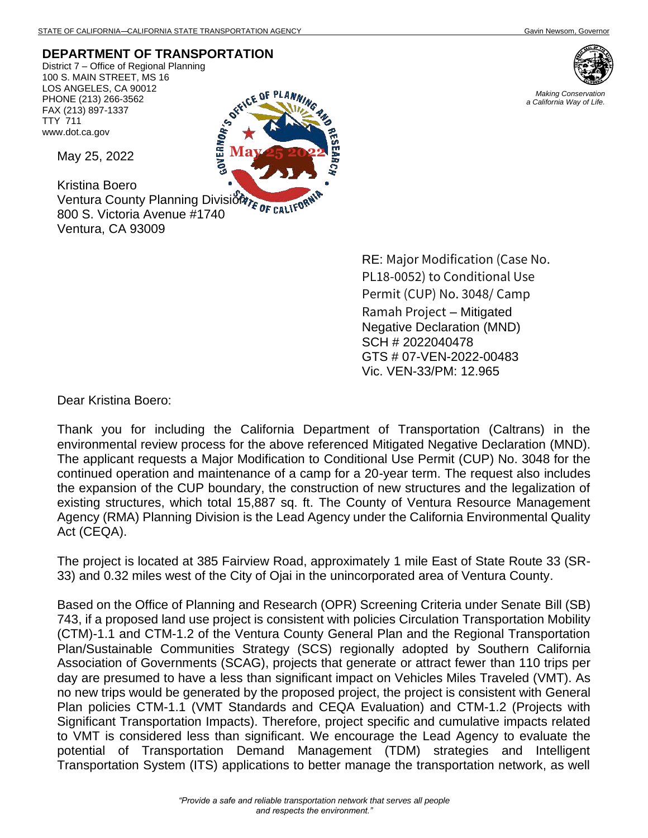**DEPARTMENT OF TRANSPORTATION**

District 7 – Office of Regional Planning 100 S. MAIN STREET, MS 16 LOS ANGELES, CA 90012 PHONE (213) 266-3562 FAX (213) 897-1337 TTY 711 www.dot.ca.gov



*Making Conservation a California Way of Life.*



May 25, 2022

Kristina Boero Kristina Boero<br>Ventura County Planning Division Fe CALIFON 800 S. Victoria Avenue #1740 Ventura, CA 93009

> RE: Major Modification (Case No. PL18-0052) to Conditional Use Permit (CUP) No. 3048/ Camp Ramah Project – Mitigated Negative Declaration (MND) SCH # 2022040478 GTS # 07-VEN-2022-00483 Vic. VEN-33/PM: 12.965

Dear Kristina Boero:

Thank you for including the California Department of Transportation (Caltrans) in the environmental review process for the above referenced Mitigated Negative Declaration (MND). The applicant requests a Major Modification to Conditional Use Permit (CUP) No. 3048 for the continued operation and maintenance of a camp for a 20-year term. The request also includes the expansion of the CUP boundary, the construction of new structures and the legalization of existing structures, which total 15,887 sq. ft. The County of Ventura Resource Management Agency (RMA) Planning Division is the Lead Agency under the California Environmental Quality Act (CEQA).

The project is located at 385 Fairview Road, approximately 1 mile East of State Route 33 (SR-33) and 0.32 miles west of the City of Ojai in the unincorporated area of Ventura County.

Based on the Office of Planning and Research (OPR) Screening Criteria under Senate Bill (SB) 743, if a proposed land use project is consistent with policies Circulation Transportation Mobility (CTM)-1.1 and CTM-1.2 of the Ventura County General Plan and the Regional Transportation Plan/Sustainable Communities Strategy (SCS) regionally adopted by Southern California Association of Governments (SCAG), projects that generate or attract fewer than 110 trips per day are presumed to have a less than significant impact on Vehicles Miles Traveled (VMT). As no new trips would be generated by the proposed project, the project is consistent with General Plan policies CTM-1.1 (VMT Standards and CEQA Evaluation) and CTM-1.2 (Projects with Significant Transportation Impacts). Therefore, project specific and cumulative impacts related to VMT is considered less than significant. We encourage the Lead Agency to evaluate the potential of Transportation Demand Management (TDM) strategies and Intelligent Transportation System (ITS) applications to better manage the transportation network, as well